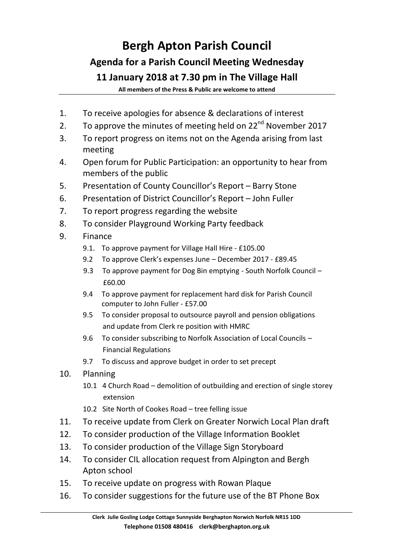## **Bergh Apton Parish Council Agenda for a Parish Council Meeting Wednesday 11 January 2018 at 7.30 pm in The Village Hall**

**All members of the Press & Public are welcome to attend**

- 1. To receive apologies for absence & declarations of interest
- 2. To approve the minutes of meeting held on  $22<sup>nd</sup>$  November 2017
- 3. To report progress on items not on the Agenda arising from last meeting
- 4. Open forum for Public Participation: an opportunity to hear from members of the public
- 5. Presentation of County Councillor's Report Barry Stone
- 6. Presentation of District Councillor's Report John Fuller
- 7. To report progress regarding the website
- 8. To consider Playground Working Party feedback
- 9. Finance
	- 9.1. To approve payment for Village Hall Hire £105.00
	- 9.2 To approve Clerk's expenses June December 2017 £89.45
	- 9.3 To approve payment for Dog Bin emptying South Norfolk Council -£60.00
	- 9.4 To approve payment for replacement hard disk for Parish Council computer to John Fuller - £57.00
	- 9.5 To consider proposal to outsource payroll and pension obligations and update from Clerk re position with HMRC
	- 9.6 To consider subscribing to Norfolk Association of Local Councils Financial Regulations
	- 9.7 To discuss and approve budget in order to set precept
- 10. Planning
	- 10.1 4 Church Road demolition of outbuilding and erection of single storey extension
	- 10.2 Site North of Cookes Road tree felling issue
- 11. To receive update from Clerk on Greater Norwich Local Plan draft
- 12. To consider production of the Village Information Booklet
- 13. To consider production of the Village Sign Storyboard
- 14. To consider CIL allocation request from Alpington and Bergh Apton school
- 15. To receive update on progress with Rowan Plaque
- 16. To consider suggestions for the future use of the BT Phone Box